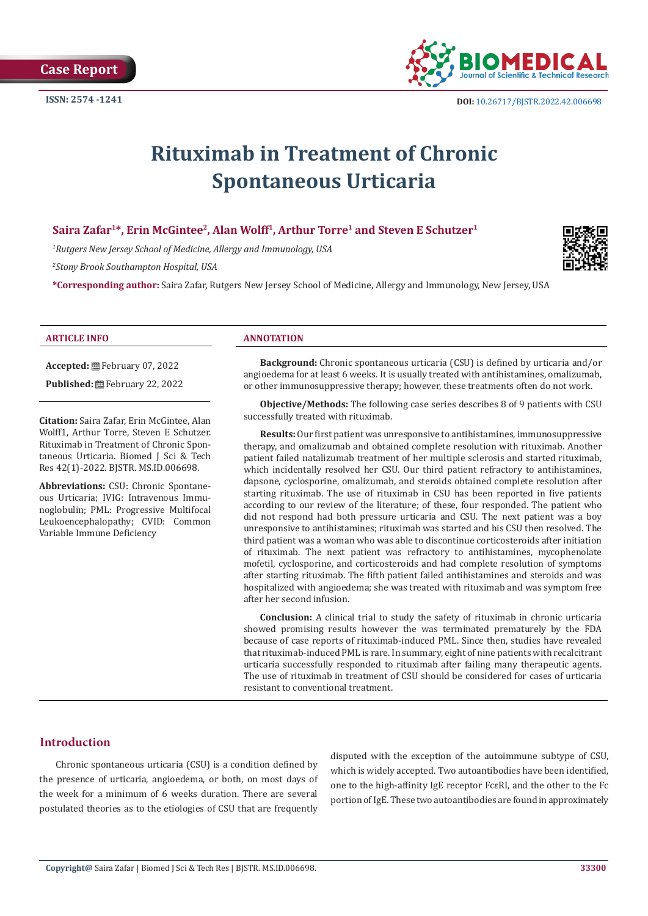

# **Rituximab in Treatment of Chronic Spontaneous Urticaria**

# Saira Zafar<sup>1\*</sup>, Erin McGintee<sup>2</sup>, Alan Wolff<sup>1</sup>, Arthur Torre<sup>1</sup> and Steven E Schutzer<sup>1</sup>

*1 Rutgers New Jersey School of Medicine, Allergy and Immunology, USA*

*2 Stony Brook Southampton Hospital, USA*

**\*Corresponding author:** Saira Zafar, Rutgers New Jersey School of Medicine, Allergy and Immunology, New Jersey, USA



**Accepted:** February 07, 2022

Published: **巴**February 22, 2022

**Citation:** Saira Zafar, Erin McGintee, Alan Wolff1, Arthur Torre, Steven E Schutzer. Rituximab in Treatment of Chronic Spontaneous Urticaria. Biomed J Sci & Tech Res 42(1)-2022. BJSTR. MS.ID.006698.

**Abbreviations:** CSU: Chronic Spontaneous Urticaria; IVIG: Intravenous Immunoglobulin; PML: Progressive Multifocal Leukoencephalopathy; CVID: Common Variable Immune Deficiency

#### **ARTICLE INFO ANNOTATION**

**Background:** Chronic spontaneous urticaria (CSU) is defined by urticaria and/or angioedema for at least 6 weeks. It is usually treated with antihistamines, omalizumab, or other immunosuppressive therapy; however, these treatments often do not work.

**Objective/Methods:** The following case series describes 8 of 9 patients with CSU successfully treated with rituximab.

**Results:** Our first patient was unresponsive to antihistamines, immunosuppressive therapy, and omalizumab and obtained complete resolution with rituximab. Another patient failed natalizumab treatment of her multiple sclerosis and started rituximab, which incidentally resolved her CSU. Our third patient refractory to antihistamines, dapsone, cyclosporine, omalizumab, and steroids obtained complete resolution after starting rituximab. The use of rituximab in CSU has been reported in five patients according to our review of the literature; of these, four responded. The patient who did not respond had both pressure urticaria and CSU. The next patient was a boy unresponsive to antihistamines; rituximab was started and his CSU then resolved. The third patient was a woman who was able to discontinue corticosteroids after initiation of rituximab. The next patient was refractory to antihistamines, mycophenolate mofetil, cyclosporine, and corticosteroids and had complete resolution of symptoms after starting rituximab. The fifth patient failed antihistamines and steroids and was hospitalized with angioedema; she was treated with rituximab and was symptom free after her second infusion.

**Conclusion:** A clinical trial to study the safety of rituximab in chronic urticaria showed promising results however the was terminated prematurely by the FDA because of case reports of rituximab-induced PML. Since then, studies have revealed that rituximab-induced PML is rare. In summary, eight of nine patients with recalcitrant urticaria successfully responded to rituximab after failing many therapeutic agents. The use of rituximab in treatment of CSU should be considered for cases of urticaria resistant to conventional treatment.

# **Introduction**

Chronic spontaneous urticaria (CSU) is a condition defined by the presence of urticaria, angioedema, or both, on most days of the week for a minimum of 6 weeks duration. There are several postulated theories as to the etiologies of CSU that are frequently

disputed with the exception of the autoimmune subtype of CSU, which is widely accepted. Two autoantibodies have been identified, one to the high-affinity IgE receptor FcεRI, and the other to the Fc portion of IgE. These two autoantibodies are found in approximately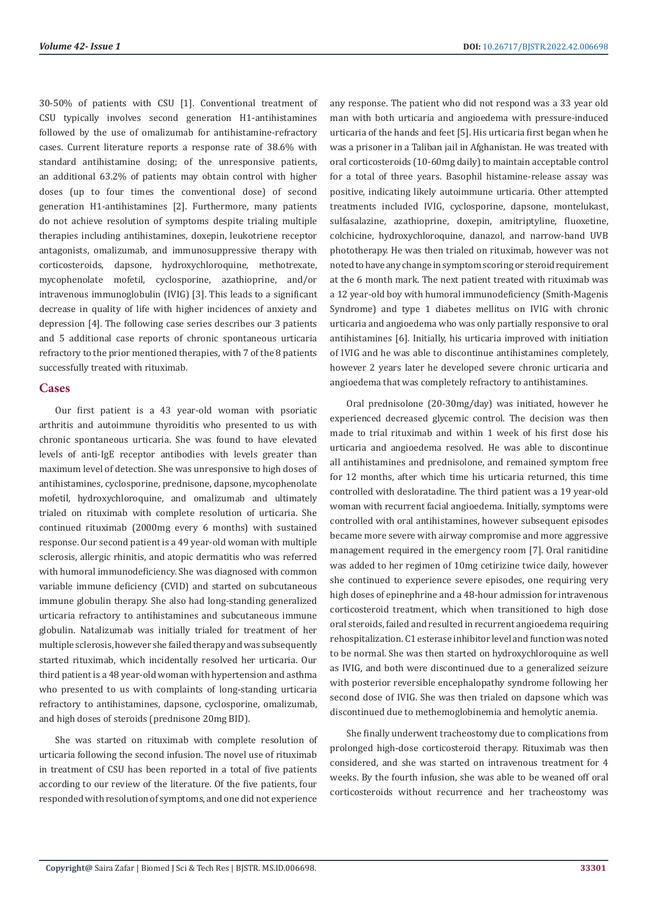30-50% of patients with CSU [1]. Conventional treatment of CSU typically involves second generation H1-antihistamines followed by the use of omalizumab for antihistamine-refractory cases. Current literature reports a response rate of 38.6% with standard antihistamine dosing; of the unresponsive patients, an additional 63.2% of patients may obtain control with higher doses (up to four times the conventional dose) of second generation H1-antihistamines [2]. Furthermore, many patients do not achieve resolution of symptoms despite trialing multiple therapies including antihistamines, doxepin, leukotriene receptor antagonists, omalizumab, and immunosuppressive therapy with corticosteroids, dapsone, hydroxychloroquine, methotrexate, mycophenolate mofetil, cyclosporine, azathioprine, and/or intravenous immunoglobulin (IVIG) [3]. This leads to a significant decrease in quality of life with higher incidences of anxiety and depression [4]. The following case series describes our 3 patients and 5 additional case reports of chronic spontaneous urticaria refractory to the prior mentioned therapies, with 7 of the 8 patients successfully treated with rituximab.

### **Cases**

Our first patient is a 43 year-old woman with psoriatic arthritis and autoimmune thyroiditis who presented to us with chronic spontaneous urticaria. She was found to have elevated levels of anti-IgE receptor antibodies with levels greater than maximum level of detection. She was unresponsive to high doses of antihistamines, cyclosporine, prednisone, dapsone, mycophenolate mofetil, hydroxychloroquine, and omalizumab and ultimately trialed on rituximab with complete resolution of urticaria. She continued rituximab (2000mg every 6 months) with sustained response. Our second patient is a 49 year-old woman with multiple sclerosis, allergic rhinitis, and atopic dermatitis who was referred with humoral immunodeficiency. She was diagnosed with common variable immune deficiency (CVID) and started on subcutaneous immune globulin therapy. She also had long-standing generalized urticaria refractory to antihistamines and subcutaneous immune globulin. Natalizumab was initially trialed for treatment of her multiple sclerosis, however she failed therapy and was subsequently started rituximab, which incidentally resolved her urticaria. Our third patient is a 48 year-old woman with hypertension and asthma who presented to us with complaints of long-standing urticaria refractory to antihistamines, dapsone, cyclosporine, omalizumab, and high doses of steroids (prednisone 20mg BID).

She was started on rituximab with complete resolution of urticaria following the second infusion. The novel use of rituximab in treatment of CSU has been reported in a total of five patients according to our review of the literature. Of the five patients, four responded with resolution of symptoms, and one did not experience

any response. The patient who did not respond was a 33 year old man with both urticaria and angioedema with pressure-induced urticaria of the hands and feet [5]. His urticaria first began when he was a prisoner in a Taliban jail in Afghanistan. He was treated with oral corticosteroids (10-60mg daily) to maintain acceptable control for a total of three years. Basophil histamine-release assay was positive, indicating likely autoimmune urticaria. Other attempted treatments included IVIG, cyclosporine, dapsone, montelukast, sulfasalazine, azathioprine, doxepin, amitriptyline, fluoxetine, colchicine, hydroxychloroquine, danazol, and narrow-band UVB phototherapy. He was then trialed on rituximab, however was not noted to have any change in symptom scoring or steroid requirement at the 6 month mark. The next patient treated with rituximab was a 12 year-old boy with humoral immunodeficiency (Smith-Magenis Syndrome) and type 1 diabetes mellitus on IVIG with chronic urticaria and angioedema who was only partially responsive to oral antihistamines [6]. Initially, his urticaria improved with initiation of IVIG and he was able to discontinue antihistamines completely, however 2 years later he developed severe chronic urticaria and angioedema that was completely refractory to antihistamines.

Oral prednisolone (20-30mg/day) was initiated, however he experienced decreased glycemic control. The decision was then made to trial rituximab and within 1 week of his first dose his urticaria and angioedema resolved. He was able to discontinue all antihistamines and prednisolone, and remained symptom free for 12 months, after which time his urticaria returned, this time controlled with desloratadine. The third patient was a 19 year-old woman with recurrent facial angioedema. Initially, symptoms were controlled with oral antihistamines, however subsequent episodes became more severe with airway compromise and more aggressive management required in the emergency room [7]. Oral ranitidine was added to her regimen of 10mg cetirizine twice daily, however she continued to experience severe episodes, one requiring very high doses of epinephrine and a 48-hour admission for intravenous corticosteroid treatment, which when transitioned to high dose oral steroids, failed and resulted in recurrent angioedema requiring rehospitalization. C1 esterase inhibitor level and function was noted to be normal. She was then started on hydroxychloroquine as well as IVIG, and both were discontinued due to a generalized seizure with posterior reversible encephalopathy syndrome following her second dose of IVIG. She was then trialed on dapsone which was discontinued due to methemoglobinemia and hemolytic anemia.

She finally underwent tracheostomy due to complications from prolonged high-dose corticosteroid therapy. Rituximab was then considered, and she was started on intravenous treatment for 4 weeks. By the fourth infusion, she was able to be weaned off oral corticosteroids without recurrence and her tracheostomy was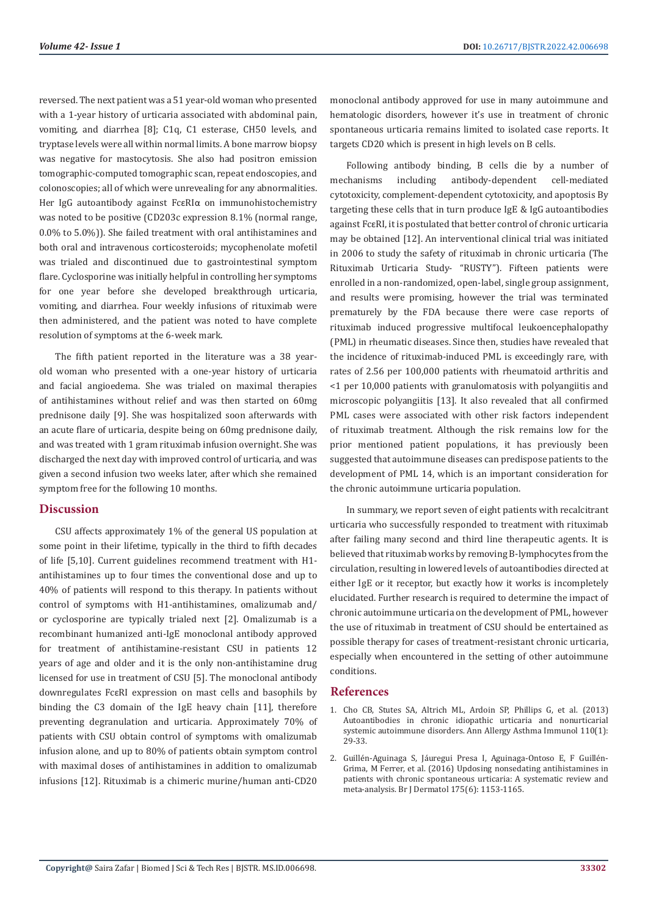reversed. The next patient was a 51 year-old woman who presented with a 1-year history of urticaria associated with abdominal pain, vomiting, and diarrhea [8]; C1q, C1 esterase, CH50 levels, and tryptase levels were all within normal limits. A bone marrow biopsy was negative for mastocytosis. She also had positron emission tomographic-computed tomographic scan, repeat endoscopies, and colonoscopies; all of which were unrevealing for any abnormalities. Her IgG autoantibody against FcεRIα on immunohistochemistry was noted to be positive (CD203c expression 8.1% (normal range, 0.0% to 5.0%)). She failed treatment with oral antihistamines and both oral and intravenous corticosteroids; mycophenolate mofetil was trialed and discontinued due to gastrointestinal symptom flare. Cyclosporine was initially helpful in controlling her symptoms for one year before she developed breakthrough urticaria, vomiting, and diarrhea. Four weekly infusions of rituximab were then administered, and the patient was noted to have complete resolution of symptoms at the 6-week mark.

The fifth patient reported in the literature was a 38 yearold woman who presented with a one-year history of urticaria and facial angioedema. She was trialed on maximal therapies of antihistamines without relief and was then started on 60mg prednisone daily [9]. She was hospitalized soon afterwards with an acute flare of urticaria, despite being on 60mg prednisone daily, and was treated with 1 gram rituximab infusion overnight. She was discharged the next day with improved control of urticaria, and was given a second infusion two weeks later, after which she remained symptom free for the following 10 months.

## **Discussion**

CSU affects approximately 1% of the general US population at some point in their lifetime, typically in the third to fifth decades of life [5,10]. Current guidelines recommend treatment with H1 antihistamines up to four times the conventional dose and up to 40% of patients will respond to this therapy. In patients without control of symptoms with H1-antihistamines, omalizumab and/ or cyclosporine are typically trialed next [2]. Omalizumab is a recombinant humanized anti-IgE monoclonal antibody approved for treatment of antihistamine-resistant CSU in patients 12 years of age and older and it is the only non-antihistamine drug licensed for use in treatment of CSU [5]. The monoclonal antibody downregulates FcεRI expression on mast cells and basophils by binding the C3 domain of the IgE heavy chain [11], therefore preventing degranulation and urticaria. Approximately 70% of patients with CSU obtain control of symptoms with omalizumab infusion alone, and up to 80% of patients obtain symptom control with maximal doses of antihistamines in addition to omalizumab infusions [12]. Rituximab is a chimeric murine/human anti-CD20

monoclonal antibody approved for use in many autoimmune and hematologic disorders, however it's use in treatment of chronic spontaneous urticaria remains limited to isolated case reports. It targets CD20 which is present in high levels on B cells.

Following antibody binding, B cells die by a number of mechanisms including antibody-dependent cell-mediated cytotoxicity, complement-dependent cytotoxicity, and apoptosis By targeting these cells that in turn produce IgE & IgG autoantibodies against FcεRI, it is postulated that better control of chronic urticaria may be obtained [12]. An interventional clinical trial was initiated in 2006 to study the safety of rituximab in chronic urticaria (The Rituximab Urticaria Study- "RUSTY"). Fifteen patients were enrolled in a non-randomized, open-label, single group assignment, and results were promising, however the trial was terminated prematurely by the FDA because there were case reports of rituximab induced progressive multifocal leukoencephalopathy (PML) in rheumatic diseases. Since then, studies have revealed that the incidence of rituximab-induced PML is exceedingly rare, with rates of 2.56 per 100,000 patients with rheumatoid arthritis and <1 per 10,000 patients with granulomatosis with polyangiitis and microscopic polyangiitis [13]. It also revealed that all confirmed PML cases were associated with other risk factors independent of rituximab treatment. Although the risk remains low for the prior mentioned patient populations, it has previously been suggested that autoimmune diseases can predispose patients to the development of PML 14, which is an important consideration for the chronic autoimmune urticaria population.

In summary, we report seven of eight patients with recalcitrant urticaria who successfully responded to treatment with rituximab after failing many second and third line therapeutic agents. It is believed that rituximab works by removing B-lymphocytes from the circulation, resulting in lowered levels of autoantibodies directed at either IgE or it receptor, but exactly how it works is incompletely elucidated. Further research is required to determine the impact of chronic autoimmune urticaria on the development of PML, however the use of rituximab in treatment of CSU should be entertained as possible therapy for cases of treatment-resistant chronic urticaria, especially when encountered in the setting of other autoimmune conditions.

# **References**

- 1. [Cho CB, Stutes SA, Altrich ML, Ardoin SP, Phillips G, et al. \(2013\)](https://pubmed.ncbi.nlm.nih.gov/23244655/) [Autoantibodies in chronic idiopathic urticaria and nonurticarial](https://pubmed.ncbi.nlm.nih.gov/23244655/) [systemic autoimmune disorders. Ann Allergy Asthma Immunol 110\(1\):](https://pubmed.ncbi.nlm.nih.gov/23244655/) [29-33.](https://pubmed.ncbi.nlm.nih.gov/23244655/)
- 2. [Guillén-Aguinaga S, Jáuregui Presa I, Aguinaga-Ontoso E, F Guillén-](https://pubmed.ncbi.nlm.nih.gov/27237730/)[Grima, M Ferrer, et al. \(2016\) Updosing nonsedating antihistamines in](https://pubmed.ncbi.nlm.nih.gov/27237730/) [patients with chronic spontaneous urticaria: A systematic review and](https://pubmed.ncbi.nlm.nih.gov/27237730/) [meta-analysis. Br J Dermatol 175\(6\): 1153-1165.](https://pubmed.ncbi.nlm.nih.gov/27237730/)